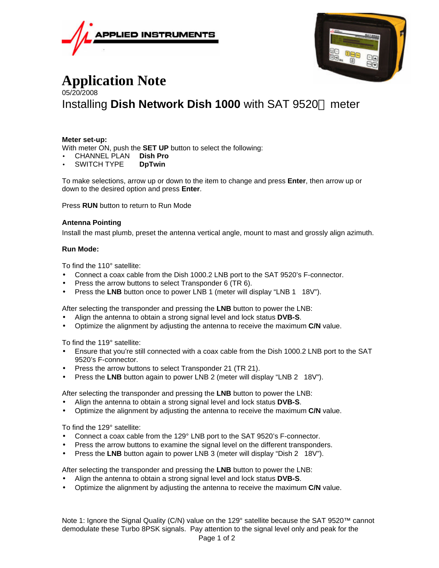



## **Application Note** 05/20/2008 Installing **Dish Network Dish 1000** with SAT 9520™ meter

## **Meter set-up:**

With meter ON, push the **SET UP** button to select the following:

- CHANNEL PLAN **Dish Pro**
- SWITCH TYPE **DpTwin**

To make selections, arrow up or down to the item to change and press **Enter**, then arrow up or down to the desired option and press **Enter**.

Press **RUN** button to return to Run Mode

## **Antenna Pointing**

Install the mast plumb, preset the antenna vertical angle, mount to mast and grossly align azimuth.

## **Run Mode:**

To find the 110° satellite:

- Connect a coax cable from the Dish 1000.2 LNB port to the SAT 9520's F-connector.
- Press the arrow buttons to select Transponder 6 (TR 6).
- Press the LNB button once to power LNB 1 (meter will display "LNB 1 18V").

After selecting the transponder and pressing the **LNB** button to power the LNB:

- Align the antenna to obtain a strong signal level and lock status **DVB-S**.
- Optimize the alignment by adjusting the antenna to receive the maximum **C/N** value.

To find the 119° satellite:

- Ensure that you're still connected with a coax cable from the Dish 1000.2 LNB port to the SAT 9520's F-connector.
- Press the arrow buttons to select Transponder 21 (TR 21).
- Press the **LNB** button again to power LNB 2 (meter will display "LNB 2 18V").

After selecting the transponder and pressing the **LNB** button to power the LNB:

- Align the antenna to obtain a strong signal level and lock status **DVB-S**.
- Optimize the alignment by adjusting the antenna to receive the maximum **C/N** value.

To find the 129° satellite:

- Connect a coax cable from the 129° LNB port to the SAT 9520's F-connector.
- Press the arrow buttons to examine the signal level on the different transponders.
- Press the LNB button again to power LNB 3 (meter will display "Dish 2 18V").

After selecting the transponder and pressing the **LNB** button to power the LNB:

- Align the antenna to obtain a strong signal level and lock status **DVB-S**.
- Optimize the alignment by adjusting the antenna to receive the maximum **C/N** value.

Page 1 of 2 Note 1: Ignore the Signal Quality (C/N) value on the 129° satellite because the SAT 9520™ cannot demodulate these Turbo 8PSK signals. Pay attention to the signal level only and peak for the